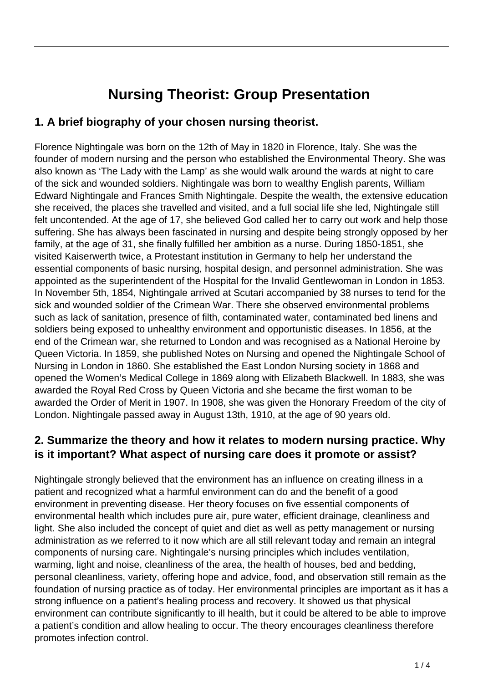# **Nursing Theorist: Group Presentation**

## **1. A brief biography of your chosen nursing theorist.**

Florence Nightingale was born on the 12th of May in 1820 in Florence, Italy. She was the founder of modern nursing and the person who established the Environmental Theory. She was also known as 'The Lady with the Lamp' as she would walk around the wards at night to care of the sick and wounded soldiers. Nightingale was born to wealthy English parents, William Edward Nightingale and Frances Smith Nightingale. Despite the wealth, the extensive education she received, the places she travelled and visited, and a full social life she led, Nightingale still felt uncontended. At the age of 17, she believed God called her to carry out work and help those suffering. She has always been fascinated in nursing and despite being strongly opposed by her family, at the age of 31, she finally fulfilled her ambition as a nurse. During 1850-1851, she visited Kaiserwerth twice, a Protestant institution in Germany to help her understand the essential components of basic nursing, hospital design, and personnel administration. She was appointed as the superintendent of the Hospital for the Invalid Gentlewoman in London in 1853. In November 5th, 1854, Nightingale arrived at Scutari accompanied by 38 nurses to tend for the sick and wounded soldier of the Crimean War. There she observed environmental problems such as lack of sanitation, presence of filth, contaminated water, contaminated bed linens and soldiers being exposed to unhealthy environment and opportunistic diseases. In 1856, at the end of the Crimean war, she returned to London and was recognised as a National Heroine by Queen Victoria. In 1859, she published Notes on Nursing and opened the Nightingale School of Nursing in London in 1860. She established the East London Nursing society in 1868 and opened the Women's Medical College in 1869 along with Elizabeth Blackwell. In 1883, she was awarded the Royal Red Cross by Queen Victoria and she became the first woman to be awarded the Order of Merit in 1907. In 1908, she was given the Honorary Freedom of the city of London. Nightingale passed away in August 13th, 1910, at the age of 90 years old.

#### **2. Summarize the theory and how it relates to modern nursing practice. Why is it important? What aspect of nursing care does it promote or assist?**

Nightingale strongly believed that the environment has an influence on creating illness in a patient and recognized what a harmful environment can do and the benefit of a good environment in preventing disease. Her theory focuses on five essential components of environmental health which includes pure air, pure water, efficient drainage, cleanliness and light. She also included the concept of quiet and diet as well as petty management or nursing administration as we referred to it now which are all still relevant today and remain an integral components of nursing care. Nightingale's nursing principles which includes ventilation, warming, light and noise, cleanliness of the area, the health of houses, bed and bedding, personal cleanliness, variety, offering hope and advice, food, and observation still remain as the foundation of nursing practice as of today. Her environmental principles are important as it has a strong influence on a patient's healing process and recovery. It showed us that physical environment can contribute significantly to ill health, but it could be altered to be able to improve a patient's condition and allow healing to occur. The theory encourages cleanliness therefore promotes infection control.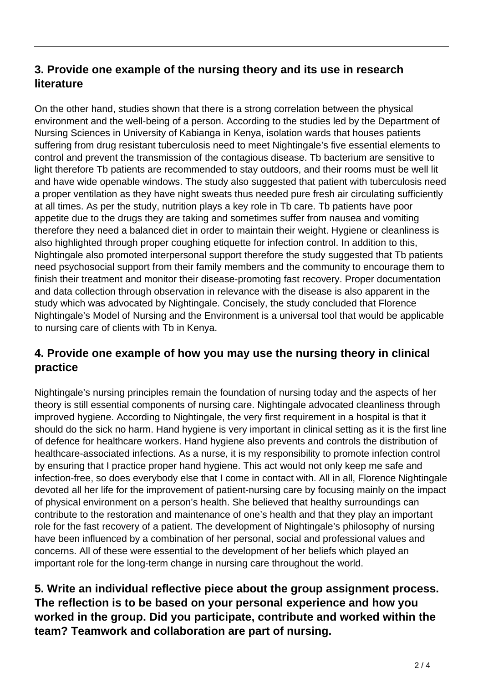# **3. Provide one example of the nursing theory and its use in research literature**

On the other hand, studies shown that there is a strong correlation between the physical environment and the well-being of a person. According to the studies led by the Department of Nursing Sciences in University of Kabianga in Kenya, isolation wards that houses patients suffering from drug resistant tuberculosis need to meet Nightingale's five essential elements to control and prevent the transmission of the contagious disease. Tb bacterium are sensitive to light therefore Tb patients are recommended to stay outdoors, and their rooms must be well lit and have wide openable windows. The study also suggested that patient with tuberculosis need a proper ventilation as they have night sweats thus needed pure fresh air circulating sufficiently at all times. As per the study, nutrition plays a key role in Tb care. Tb patients have poor appetite due to the drugs they are taking and sometimes suffer from nausea and vomiting therefore they need a balanced diet in order to maintain their weight. Hygiene or cleanliness is also highlighted through proper coughing etiquette for infection control. In addition to this, Nightingale also promoted interpersonal support therefore the study suggested that Tb patients need psychosocial support from their family members and the community to encourage them to finish their treatment and monitor their disease-promoting fast recovery. Proper documentation and data collection through observation in relevance with the disease is also apparent in the study which was advocated by Nightingale. Concisely, the study concluded that Florence Nightingale's Model of Nursing and the Environment is a universal tool that would be applicable to nursing care of clients with Tb in Kenya.

# **4. Provide one example of how you may use the nursing theory in clinical practice**

Nightingale's nursing principles remain the foundation of nursing today and the aspects of her theory is still essential components of nursing care. Nightingale advocated cleanliness through improved hygiene. According to Nightingale, the very first requirement in a hospital is that it should do the sick no harm. Hand hygiene is very important in clinical setting as it is the first line of defence for healthcare workers. Hand hygiene also prevents and controls the distribution of healthcare-associated infections. As a nurse, it is my responsibility to promote infection control by ensuring that I practice proper hand hygiene. This act would not only keep me safe and infection-free, so does everybody else that I come in contact with. All in all, Florence Nightingale devoted all her life for the improvement of patient-nursing care by focusing mainly on the impact of physical environment on a person's health. She believed that healthy surroundings can contribute to the restoration and maintenance of one's health and that they play an important role for the fast recovery of a patient. The development of Nightingale's philosophy of nursing have been influenced by a combination of her personal, social and professional values and concerns. All of these were essential to the development of her beliefs which played an important role for the long-term change in nursing care throughout the world.

## **5. Write an individual reflective piece about the group assignment process. The reflection is to be based on your personal experience and how you worked in the group. Did you participate, contribute and worked within the team? Teamwork and collaboration are part of nursing.**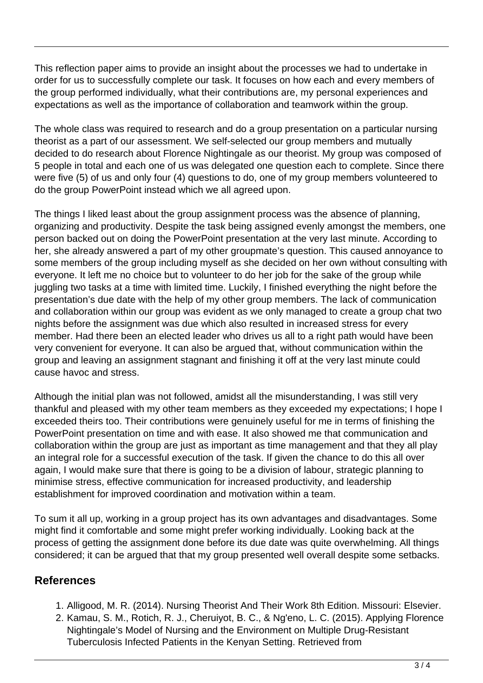This reflection paper aims to provide an insight about the processes we had to undertake in order for us to successfully complete our task. It focuses on how each and every members of the group performed individually, what their contributions are, my personal experiences and expectations as well as the importance of collaboration and teamwork within the group.

The whole class was required to research and do a group presentation on a particular nursing theorist as a part of our assessment. We self-selected our group members and mutually decided to do research about Florence Nightingale as our theorist. My group was composed of 5 people in total and each one of us was delegated one question each to complete. Since there were five (5) of us and only four (4) questions to do, one of my group members volunteered to do the group PowerPoint instead which we all agreed upon.

The things I liked least about the group assignment process was the absence of planning, organizing and productivity. Despite the task being assigned evenly amongst the members, one person backed out on doing the PowerPoint presentation at the very last minute. According to her, she already answered a part of my other groupmate's question. This caused annoyance to some members of the group including myself as she decided on her own without consulting with everyone. It left me no choice but to volunteer to do her job for the sake of the group while juggling two tasks at a time with limited time. Luckily, I finished everything the night before the presentation's due date with the help of my other group members. The lack of communication and collaboration within our group was evident as we only managed to create a group chat two nights before the assignment was due which also resulted in increased stress for every member. Had there been an elected leader who drives us all to a right path would have been very convenient for everyone. It can also be argued that, without communication within the group and leaving an assignment stagnant and finishing it off at the very last minute could cause havoc and stress.

Although the initial plan was not followed, amidst all the misunderstanding, I was still very thankful and pleased with my other team members as they exceeded my expectations; I hope I exceeded theirs too. Their contributions were genuinely useful for me in terms of finishing the PowerPoint presentation on time and with ease. It also showed me that communication and collaboration within the group are just as important as time management and that they all play an integral role for a successful execution of the task. If given the chance to do this all over again, I would make sure that there is going to be a division of labour, strategic planning to minimise stress, effective communication for increased productivity, and leadership establishment for improved coordination and motivation within a team.

To sum it all up, working in a group project has its own advantages and disadvantages. Some might find it comfortable and some might prefer working individually. Looking back at the process of getting the assignment done before its due date was quite overwhelming. All things considered; it can be argued that that my group presented well overall despite some setbacks.

#### **References**

- 1. Alligood, M. R. (2014). Nursing Theorist And Their Work 8th Edition. Missouri: Elsevier.
- 2. Kamau, S. M., Rotich, R. J., Cheruiyot, B. C., & Ng'eno, L. C. (2015). Applying Florence Nightingale's Model of Nursing and the Environment on Multiple Drug-Resistant Tuberculosis Infected Patients in the Kenyan Setting. Retrieved from